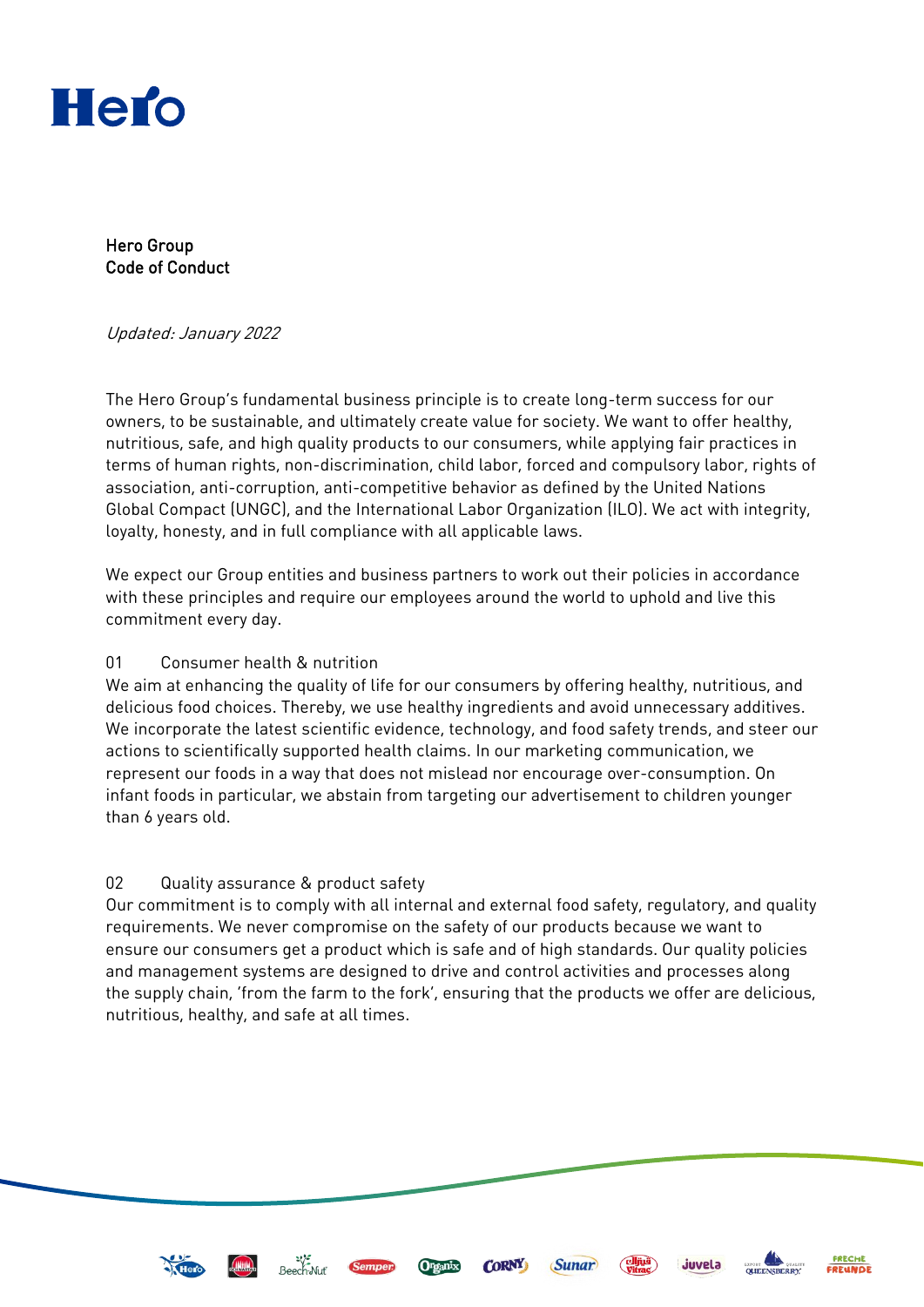

Hero Group Code of Conduct

#### Updated: January 2022

The Hero Group's fundamental business principle is to create long-term success for our owners, to be sustainable, and ultimately create value for society. We want to offer healthy, nutritious, safe, and high quality products to our consumers, while applying fair practices in terms of human rights, non-discrimination, child labor, forced and compulsory labor, rights of association, anti-corruption, anti-competitive behavior as defined by the United Nations Global Compact (UNGC), and the International Labor Organization (ILO). We act with integrity, loyalty, honesty, and in full compliance with all applicable laws.

We expect our Group entities and business partners to work out their policies in accordance with these principles and require our employees around the world to uphold and live this commitment every day.

### 01 Consumer health & nutrition

We aim at enhancing the quality of life for our consumers by offering healthy, nutritious, and delicious food choices. Thereby, we use healthy ingredients and avoid unnecessary additives. We incorporate the latest scientific evidence, technology, and food safety trends, and steer our actions to scientifically supported health claims. In our marketing communication, we represent our foods in a way that does not mislead nor encourage over-consumption. On infant foods in particular, we abstain from targeting our advertisement to children younger than 6 years old.

## 02 Quality assurance & product safety

Our commitment is to comply with all internal and external food safety, regulatory, and quality requirements. We never compromise on the safety of our products because we want to ensure our consumers get a product which is safe and of high standards. Our quality policies and management systems are designed to drive and control activities and processes along the supply chain, 'from the farm to the fork', ensuring that the products we offer are delicious, nutritious, healthy, and safe at all times.









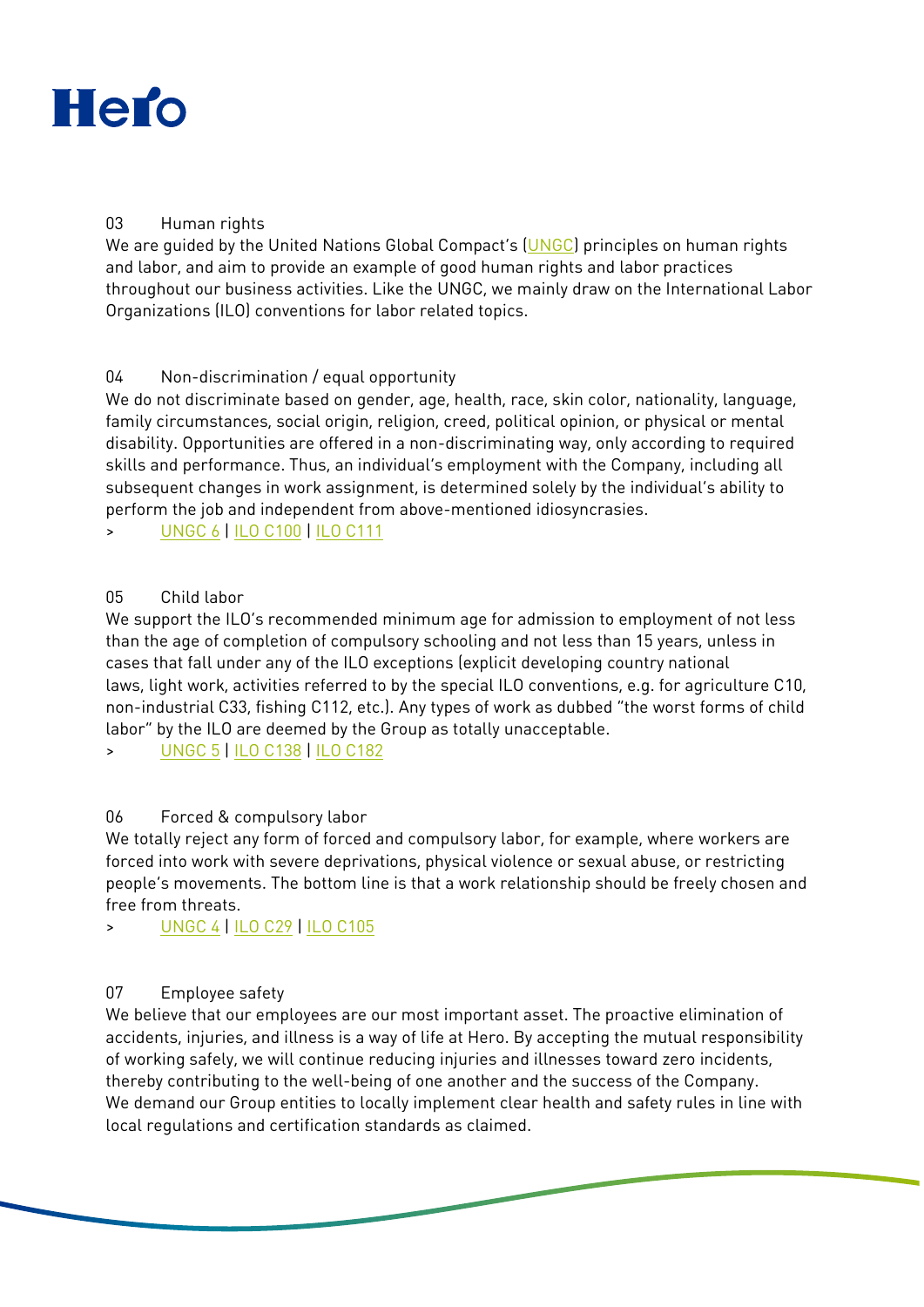

## 03 Human rights

We are guided by the United Nations Global Compact's ([UNGC\)](https://www.unglobalcompact.org/what-is-gc/our-work/social/human-rights) principles on human rights and labor, and aim to provide an example of good human rights and labor practices throughout our business activities. Like the UNGC, we mainly draw on the International Labor Organizations (ILO) conventions for labor related topics.

## 04 Non-discrimination / equal opportunity

We do not discriminate based on gender, age, health, race, skin color, nationality, language, family circumstances, social origin, religion, creed, political opinion, or physical or mental disability. Opportunities are offered in a non-discriminating way, only according to required skills and performance. Thus, an individual's employment with the Company, including all subsequent changes in work assignment, is determined solely by the individual's ability to perform the job and independent from above-mentioned idiosyncrasies.

> [UNGC](https://www.unglobalcompact.org/what-is-gc/mission/principles/principle-6) 6 [| ILO C100](http://www.ilo.org/dyn/normlex/en/f?p=NORMLEXPUB:12100:0::NO::P12100_ILO_CODE:C100) | [ILO C111](https://www.ilo.org/dyn/normlex/en/f?p=NORMLEXPUB:12100:0::NO::P12100_ILO_CODE:C111)

## 05 Child labor

We support the ILO's recommended minimum age for admission to employment of not less than the age of completion of compulsory schooling and not less than 15 years, unless in cases that fall under any of the ILO exceptions (explicit developing country national laws, light work, activities referred to by the special ILO conventions, e.g. for agriculture C10, non-industrial C33, fishing C112, etc.). Any types of work as dubbed "the worst forms of child labor" by the ILO are deemed by the Group as totally unacceptable.

> [UNGC 5](https://www.unglobalcompact.org/what-is-gc/mission/principles/principle-5) [| ILO C138](https://www.ilo.org/dyn/normlex/en/f?p=NORMLEXPUB:12100:0::NO::P12100_ILO_CODE:C138) | [ILO C182](https://www.ilo.org/dyn/normlex/en/f?p=NORMLEXPUB:12100:0::NO::P12100_ILO_CODE:C182)

# 06 Forced & compulsory labor

We totally reject any form of forced and compulsory labor, for example, where workers are forced into work with severe deprivations, physical violence or sexual abuse, or restricting people's movements. The bottom line is that a work relationship should be freely chosen and free from threats.

> [UNGC 4](https://www.unglobalcompact.org/what-is-gc/mission/principles/principle-4) [| ILO C29](https://www.ilo.org/dyn/normlex/en/f?p=1000:12100:0::NO::P12100_ILO_CODE:C029) [| ILO C105](https://www.ilo.org/dyn/normlex/en/f?p=1000:12100:0::NO::P12100_ILO_CODE:C105)

# 07 Employee safety

We believe that our employees are our most important asset. The proactive elimination of accidents, injuries, and illness is a way of life at Hero. By accepting the mutual responsibility of working safely, we will continue reducing injuries and illnesses toward zero incidents, thereby contributing to the well-being of one another and the success of the Company. We demand our Group entities to locally implement clear health and safety rules in line with local regulations and certification standards as claimed.